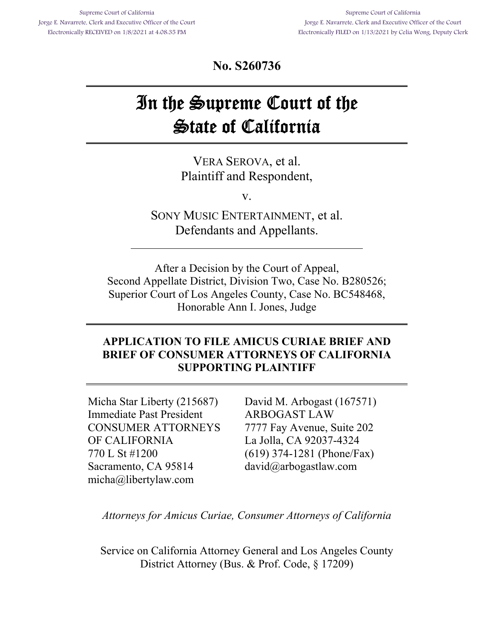**No. S260736** 

# In the Supreme Court of the State of California

VERA SEROVA, et al. Plaintiff and Respondent,

v.

SONY MUSIC ENTERTAINMENT, et al. Defendants and Appellants.

After a Decision by the Court of Appeal, Second Appellate District, Division Two, Case No. B280526; Superior Court of Los Angeles County, Case No. BC548468, Honorable Ann I. Jones, Judge

# **APPLICATION TO FILE AMICUS CURIAE BRIEF AND BRIEF OF CONSUMER ATTORNEYS OF CALIFORNIA SUPPORTING PLAINTIFF**

Micha Star Liberty (215687) Immediate Past President CONSUMER ATTORNEYS OF CALIFORNIA 770 L St #1200 Sacramento, CA 95814 micha@libertylaw.com

David M. Arbogast (167571) ARBOGAST LAW 7777 Fay Avenue, Suite 202 La Jolla, CA 92037-4324 (619) 374-1281 (Phone/Fax) david@arbogastlaw.com

*Attorneys for Amicus Curiae, Consumer Attorneys of California* 

Service on California Attorney General and Los Angeles County District Attorney (Bus. & Prof. Code, § 17209)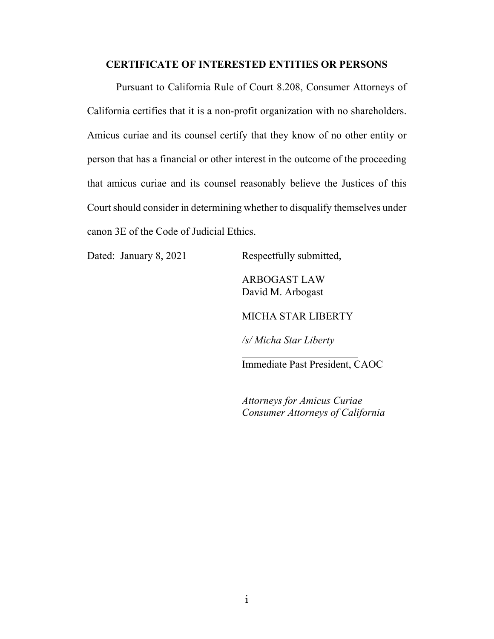## **CERTIFICATE OF INTERESTED ENTITIES OR PERSONS**

 Pursuant to California Rule of Court 8.208, Consumer Attorneys of California certifies that it is a non-profit organization with no shareholders. Amicus curiae and its counsel certify that they know of no other entity or person that has a financial or other interest in the outcome of the proceeding that amicus curiae and its counsel reasonably believe the Justices of this Court should consider in determining whether to disqualify themselves under canon 3E of the Code of Judicial Ethics.

Dated: January 8, 2021 Respectfully submitted,

ARBOGAST LAW David M. Arbogast

MICHA STAR LIBERTY

*/s/ Micha Star Liberty* 

Immediate Past President, CAOC

*Attorneys for Amicus Curiae Consumer Attorneys of California*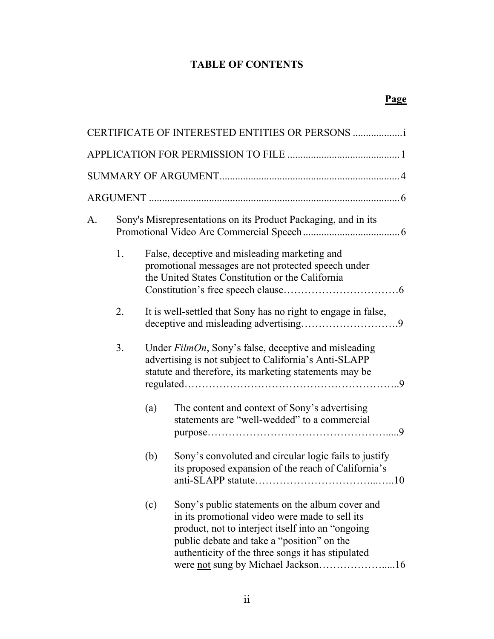# **TABLE OF CONTENTS**

# **Page**

|    |    |                                                                                                                                                                         | CERTIFICATE OF INTERESTED ENTITIES OR PERSONS  i                                                                                                                                                                                                                                                |  |  |
|----|----|-------------------------------------------------------------------------------------------------------------------------------------------------------------------------|-------------------------------------------------------------------------------------------------------------------------------------------------------------------------------------------------------------------------------------------------------------------------------------------------|--|--|
|    |    |                                                                                                                                                                         |                                                                                                                                                                                                                                                                                                 |  |  |
|    |    |                                                                                                                                                                         |                                                                                                                                                                                                                                                                                                 |  |  |
|    |    |                                                                                                                                                                         |                                                                                                                                                                                                                                                                                                 |  |  |
| A. |    |                                                                                                                                                                         | Sony's Misrepresentations on its Product Packaging, and in its                                                                                                                                                                                                                                  |  |  |
|    | 1. |                                                                                                                                                                         | False, deceptive and misleading marketing and<br>promotional messages are not protected speech under<br>the United States Constitution or the California                                                                                                                                        |  |  |
|    | 2. | It is well-settled that Sony has no right to engage in false,                                                                                                           |                                                                                                                                                                                                                                                                                                 |  |  |
|    | 3. | Under FilmOn, Sony's false, deceptive and misleading<br>advertising is not subject to California's Anti-SLAPP<br>statute and therefore, its marketing statements may be |                                                                                                                                                                                                                                                                                                 |  |  |
|    |    | (a)                                                                                                                                                                     | The content and context of Sony's advertising<br>statements are "well-wedded" to a commercial                                                                                                                                                                                                   |  |  |
|    |    | (b)                                                                                                                                                                     | Sony's convoluted and circular logic fails to justify<br>its proposed expansion of the reach of California's                                                                                                                                                                                    |  |  |
|    |    | (c)                                                                                                                                                                     | Sony's public statements on the album cover and<br>in its promotional video were made to sell its<br>product, not to interject itself into an "ongoing<br>public debate and take a "position" on the<br>authenticity of the three songs it has stipulated<br>were not sung by Michael Jackson16 |  |  |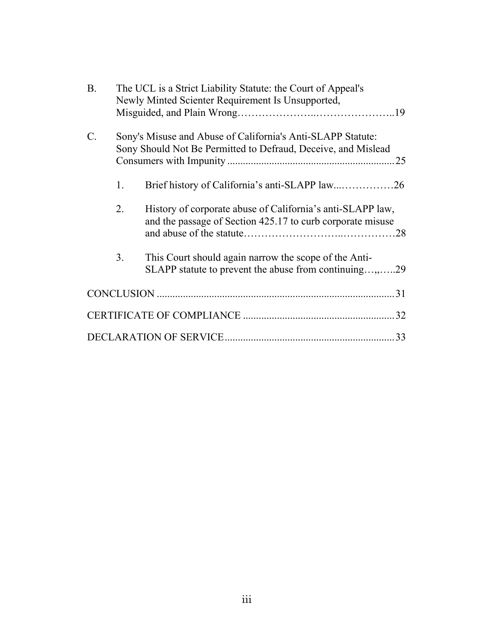| <b>B.</b> |    | The UCL is a Strict Liability Statute: the Court of Appeal's<br>Newly Minted Scienter Requirement Is Unsupported,            |
|-----------|----|------------------------------------------------------------------------------------------------------------------------------|
| C.        |    | Sony's Misuse and Abuse of California's Anti-SLAPP Statute:<br>Sony Should Not Be Permitted to Defraud, Deceive, and Mislead |
|           | 1. | Brief history of California's anti-SLAPP law26                                                                               |
|           | 2. | History of corporate abuse of California's anti-SLAPP law,<br>and the passage of Section 425.17 to curb corporate misuse     |
|           | 3. | This Court should again narrow the scope of the Anti-<br>SLAPP statute to prevent the abuse from continuing,,29              |
|           |    |                                                                                                                              |
|           |    |                                                                                                                              |
|           |    |                                                                                                                              |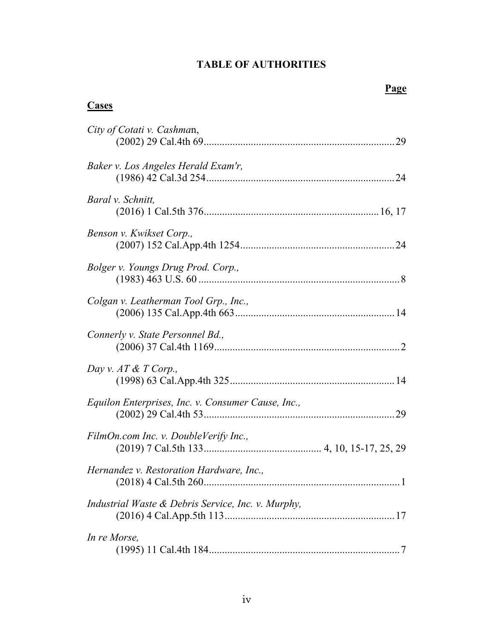# **TABLE OF AUTHORITIES**

## **Page**

## **Cases**

| City of Cotati v. Cashman,                         |
|----------------------------------------------------|
| Baker v. Los Angeles Herald Exam'r,                |
| Baral v. Schnitt,                                  |
| Benson v. Kwikset Corp.,                           |
| Bolger v. Youngs Drug Prod. Corp.,                 |
| Colgan v. Leatherman Tool Grp., Inc.,              |
| Connerly v. State Personnel Bd.,                   |
| Day v. $AT \& T$ Corp.,                            |
| Equilon Enterprises, Inc. v. Consumer Cause, Inc., |
| FilmOn.com Inc. v. DoubleVerify Inc.,              |
| Hernandez v. Restoration Hardware, Inc.,           |
| Industrial Waste & Debris Service, Inc. v. Murphy, |
| In re Morse,                                       |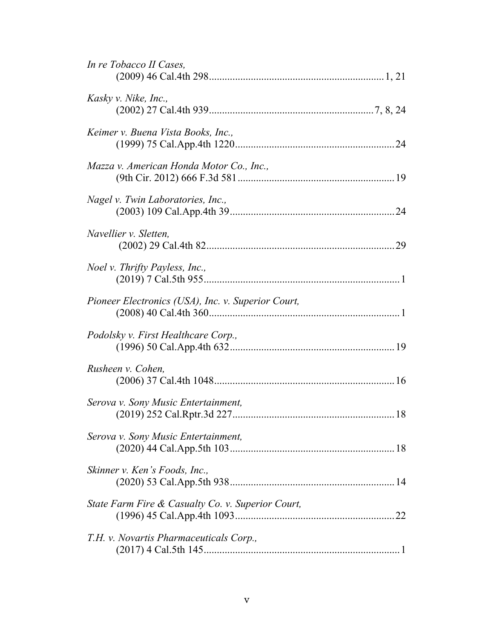| In re Tobacco II Cases,                            |
|----------------------------------------------------|
| Kasky v. Nike, Inc.,                               |
| Keimer v. Buena Vista Books, Inc.,                 |
| Mazza v. American Honda Motor Co., Inc.,           |
| Nagel v. Twin Laboratories, Inc.,                  |
| Navellier v. Sletten,                              |
| Noel v. Thrifty Payless, Inc.,                     |
| Pioneer Electronics (USA), Inc. v. Superior Court, |
| Podolsky v. First Healthcare Corp.,                |
| Rusheen v. Cohen,                                  |
| Serova v. Sony Music Entertainment,                |
| Serova v. Sony Music Entertainment,                |
| Skinner v. Ken's Foods, Inc.,                      |
| State Farm Fire & Casualty Co. v. Superior Court,  |
| T.H. v. Novartis Pharmaceuticals Corp.,            |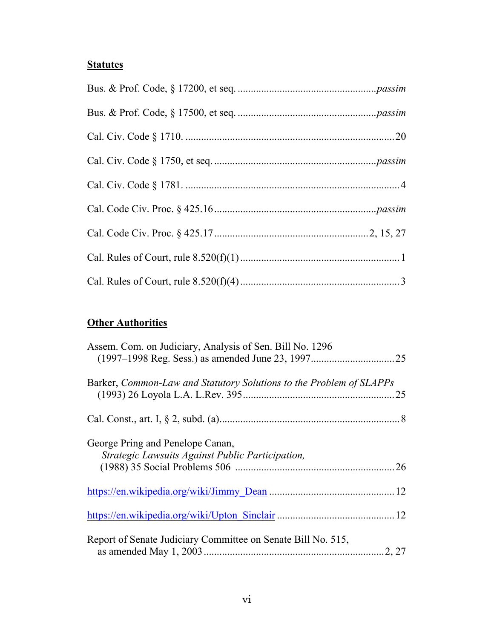# **Statutes**

# **Other Authorities**

| Assem. Com. on Judiciary, Analysis of Sen. Bill No. 1296            |
|---------------------------------------------------------------------|
|                                                                     |
| Barker, Common-Law and Statutory Solutions to the Problem of SLAPPs |
|                                                                     |
| George Pring and Penelope Canan,                                    |
| Strategic Lawsuits Against Public Participation,                    |
|                                                                     |
|                                                                     |
|                                                                     |
| Report of Senate Judiciary Committee on Senate Bill No. 515,        |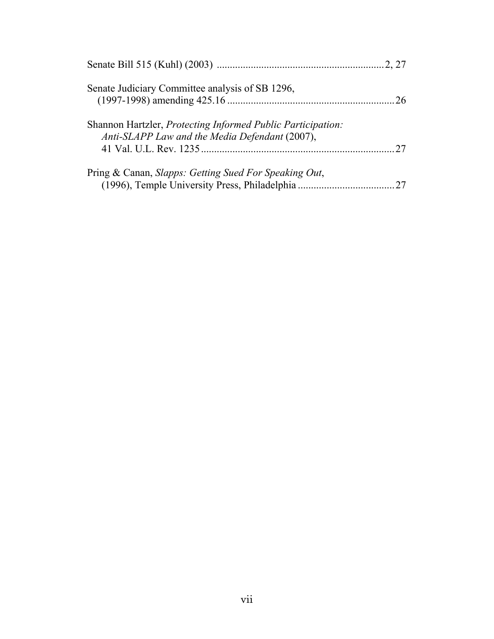| Senate Judiciary Committee analysis of SB 1296,                                                               |  |
|---------------------------------------------------------------------------------------------------------------|--|
| Shannon Hartzler, Protecting Informed Public Participation:<br>Anti-SLAPP Law and the Media Defendant (2007), |  |
| Pring & Canan, Slapps: Getting Sued For Speaking Out,                                                         |  |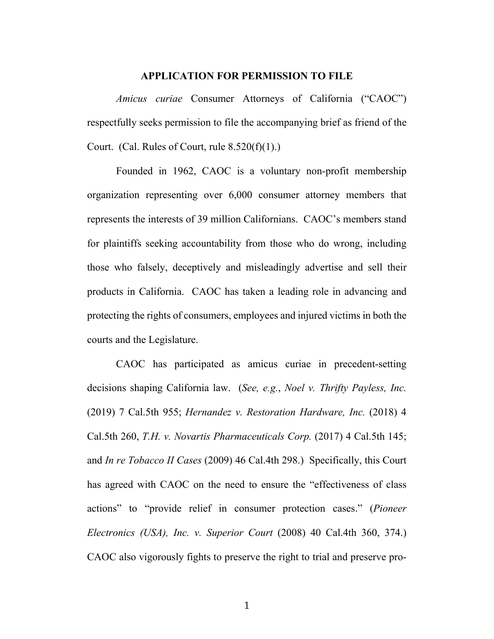#### **APPLICATION FOR PERMISSION TO FILE**

*Amicus curiae* Consumer Attorneys of California ("CAOC") respectfully seeks permission to file the accompanying brief as friend of the Court. (Cal. Rules of Court, rule  $8.520(f)(1)$ .)

Founded in 1962, CAOC is a voluntary non-profit membership organization representing over 6,000 consumer attorney members that represents the interests of 39 million Californians. CAOC's members stand for plaintiffs seeking accountability from those who do wrong, including those who falsely, deceptively and misleadingly advertise and sell their products in California. CAOC has taken a leading role in advancing and protecting the rights of consumers, employees and injured victims in both the courts and the Legislature.

CAOC has participated as amicus curiae in precedent-setting decisions shaping California law. (*See, e.g.*, *Noel v. Thrifty Payless, Inc.* (2019) 7 Cal.5th 955; *Hernandez v. Restoration Hardware, Inc.* (2018) 4 Cal.5th 260, *T.H. v. Novartis Pharmaceuticals Corp.* (2017) 4 Cal.5th 145; and *In re Tobacco II Cases* (2009) 46 Cal.4th 298.) Specifically, this Court has agreed with CAOC on the need to ensure the "effectiveness of class actions" to "provide relief in consumer protection cases." (*Pioneer Electronics (USA), Inc. v. Superior Court* (2008) 40 Cal.4th 360, 374.) CAOC also vigorously fights to preserve the right to trial and preserve pro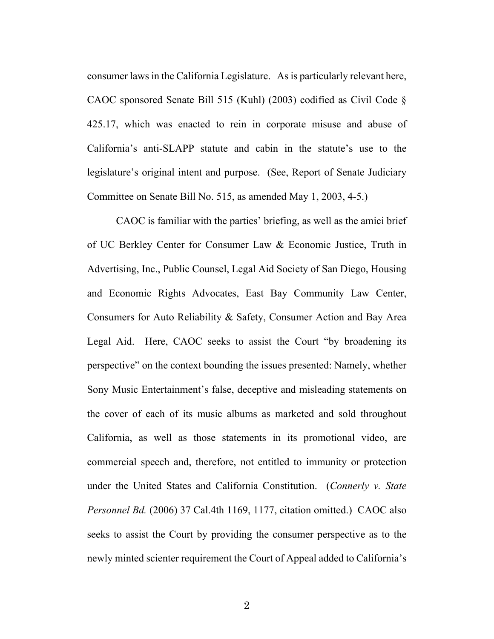consumer laws in the California Legislature. As is particularly relevant here, CAOC sponsored Senate Bill 515 (Kuhl) (2003) codified as Civil Code § 425.17, which was enacted to rein in corporate misuse and abuse of California's anti-SLAPP statute and cabin in the statute's use to the legislature's original intent and purpose. (See, Report of Senate Judiciary Committee on Senate Bill No. 515, as amended May 1, 2003, 4-5.)

CAOC is familiar with the parties' briefing, as well as the amici brief of UC Berkley Center for Consumer Law & Economic Justice, Truth in Advertising, Inc., Public Counsel, Legal Aid Society of San Diego, Housing and Economic Rights Advocates, East Bay Community Law Center, Consumers for Auto Reliability & Safety, Consumer Action and Bay Area Legal Aid. Here, CAOC seeks to assist the Court "by broadening its perspective" on the context bounding the issues presented: Namely, whether Sony Music Entertainment's false, deceptive and misleading statements on the cover of each of its music albums as marketed and sold throughout California, as well as those statements in its promotional video, are commercial speech and, therefore, not entitled to immunity or protection under the United States and California Constitution. (*Connerly v. State Personnel Bd.* (2006) 37 Cal.4th 1169, 1177, citation omitted.) CAOC also seeks to assist the Court by providing the consumer perspective as to the newly minted scienter requirement the Court of Appeal added to California's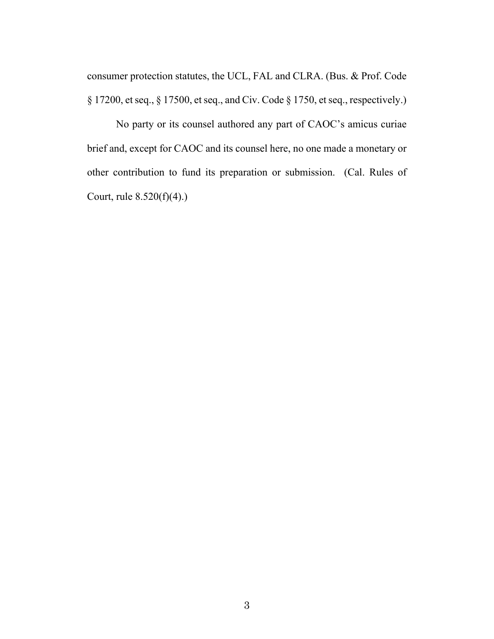consumer protection statutes, the UCL, FAL and CLRA. (Bus. & Prof. Code § 17200, et seq., § 17500, et seq., and Civ. Code § 1750, et seq., respectively.)

No party or its counsel authored any part of CAOC's amicus curiae brief and, except for CAOC and its counsel here, no one made a monetary or other contribution to fund its preparation or submission. (Cal. Rules of Court, rule  $8.520(f)(4)$ .)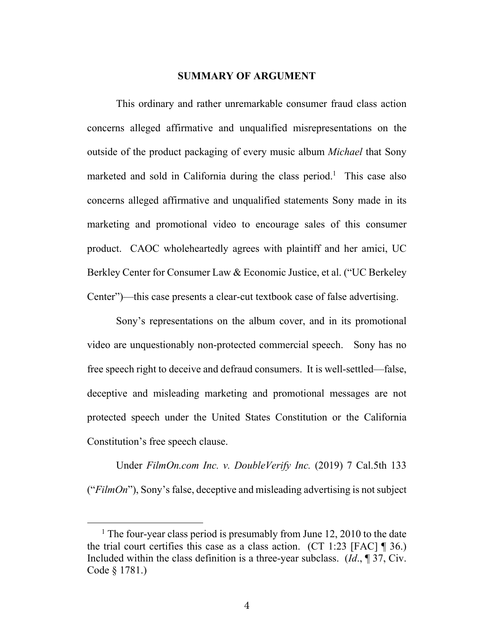## **SUMMARY OF ARGUMENT**

 This ordinary and rather unremarkable consumer fraud class action concerns alleged affirmative and unqualified misrepresentations on the outside of the product packaging of every music album *Michael* that Sony marketed and sold in California during the class period.<sup>1</sup> This case also concerns alleged affirmative and unqualified statements Sony made in its marketing and promotional video to encourage sales of this consumer product. CAOC wholeheartedly agrees with plaintiff and her amici, UC Berkley Center for Consumer Law & Economic Justice, et al. ("UC Berkeley Center")—this case presents a clear-cut textbook case of false advertising.

 Sony's representations on the album cover, and in its promotional video are unquestionably non-protected commercial speech. Sony has no free speech right to deceive and defraud consumers. It is well-settled—false, deceptive and misleading marketing and promotional messages are not protected speech under the United States Constitution or the California Constitution's free speech clause.

 Under *FilmOn.com Inc. v. DoubleVerify Inc.* (2019) 7 Cal.5th 133 ("*FilmOn*"), Sony's false, deceptive and misleading advertising is not subject

 $\frac{1}{1}$ <sup>1</sup> The four-year class period is presumably from June 12, 2010 to the date the trial court certifies this case as a class action. (CT 1:23 [FAC]  $\P$  36.) Included within the class definition is a three-year subclass. (*Id*., ¶ 37, Civ. Code § 1781.)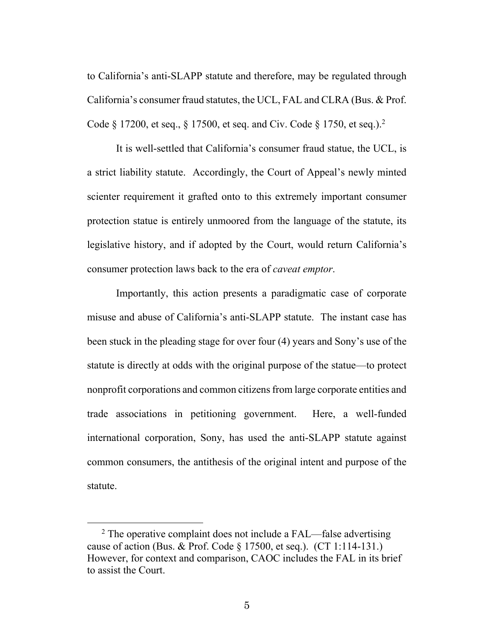to California's anti-SLAPP statute and therefore, may be regulated through California's consumer fraud statutes, the UCL, FAL and CLRA (Bus. & Prof. Code § 17200, et seq., § 17500, et seq. and Civ. Code § 1750, et seq.).2

 It is well-settled that California's consumer fraud statue, the UCL, is a strict liability statute. Accordingly, the Court of Appeal's newly minted scienter requirement it grafted onto to this extremely important consumer protection statue is entirely unmoored from the language of the statute, its legislative history, and if adopted by the Court, would return California's consumer protection laws back to the era of *caveat emptor*.

 Importantly, this action presents a paradigmatic case of corporate misuse and abuse of California's anti-SLAPP statute. The instant case has been stuck in the pleading stage for over four (4) years and Sony's use of the statute is directly at odds with the original purpose of the statue—to protect nonprofit corporations and common citizens from large corporate entities and trade associations in petitioning government. Here, a well-funded international corporation, Sony, has used the anti-SLAPP statute against common consumers, the antithesis of the original intent and purpose of the statute.

<sup>&</sup>lt;sup>2</sup> The operative complaint does not include a FAL—false advertising cause of action (Bus. & Prof. Code § 17500, et seq.). (CT 1:114-131.) However, for context and comparison, CAOC includes the FAL in its brief to assist the Court.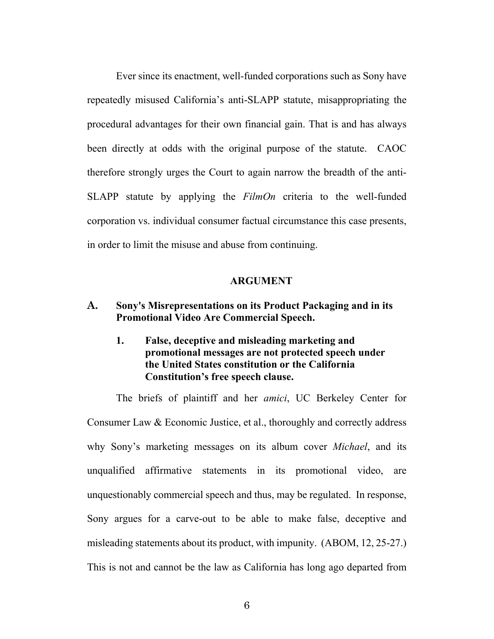Ever since its enactment, well-funded corporations such as Sony have repeatedly misused California's anti-SLAPP statute, misappropriating the procedural advantages for their own financial gain. That is and has always been directly at odds with the original purpose of the statute. CAOC therefore strongly urges the Court to again narrow the breadth of the anti-SLAPP statute by applying the *FilmOn* criteria to the well-funded corporation vs. individual consumer factual circumstance this case presents, in order to limit the misuse and abuse from continuing.

#### **ARGUMENT**

## **A. Sony's Misrepresentations on its Product Packaging and in its Promotional Video Are Commercial Speech.**

**1. False, deceptive and misleading marketing and promotional messages are not protected speech under the United States constitution or the California Constitution's free speech clause.**

The briefs of plaintiff and her *amici*, UC Berkeley Center for Consumer Law & Economic Justice, et al., thoroughly and correctly address why Sony's marketing messages on its album cover *Michael*, and its unqualified affirmative statements in its promotional video, are unquestionably commercial speech and thus, may be regulated. In response, Sony argues for a carve-out to be able to make false, deceptive and misleading statements about its product, with impunity. (ABOM, 12, 25-27.) This is not and cannot be the law as California has long ago departed from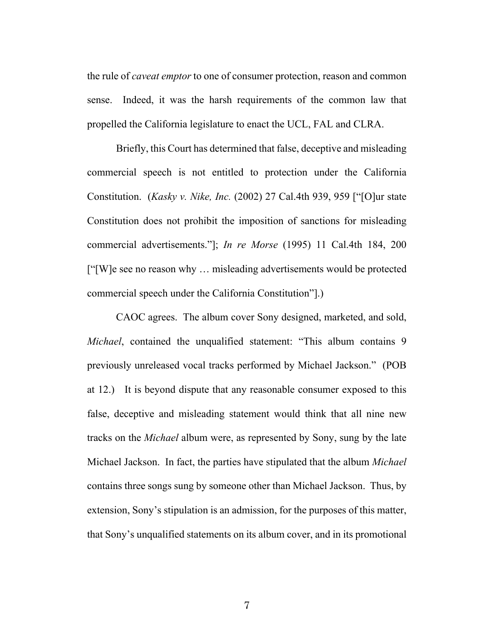the rule of *caveat emptor* to one of consumer protection, reason and common sense. Indeed, it was the harsh requirements of the common law that propelled the California legislature to enact the UCL, FAL and CLRA.

Briefly, this Court has determined that false, deceptive and misleading commercial speech is not entitled to protection under the California Constitution. (*Kasky v. Nike, Inc.* (2002) 27 Cal.4th 939, 959 ["[O]ur state Constitution does not prohibit the imposition of sanctions for misleading commercial advertisements."]; *In re Morse* (1995) 11 Cal.4th 184, 200 ["[W]e see no reason why … misleading advertisements would be protected commercial speech under the California Constitution"].)

CAOC agrees. The album cover Sony designed, marketed, and sold, *Michael*, contained the unqualified statement: "This album contains 9 previously unreleased vocal tracks performed by Michael Jackson." (POB at 12.) It is beyond dispute that any reasonable consumer exposed to this false, deceptive and misleading statement would think that all nine new tracks on the *Michael* album were, as represented by Sony, sung by the late Michael Jackson. In fact, the parties have stipulated that the album *Michael*  contains three songs sung by someone other than Michael Jackson. Thus, by extension, Sony's stipulation is an admission, for the purposes of this matter, that Sony's unqualified statements on its album cover, and in its promotional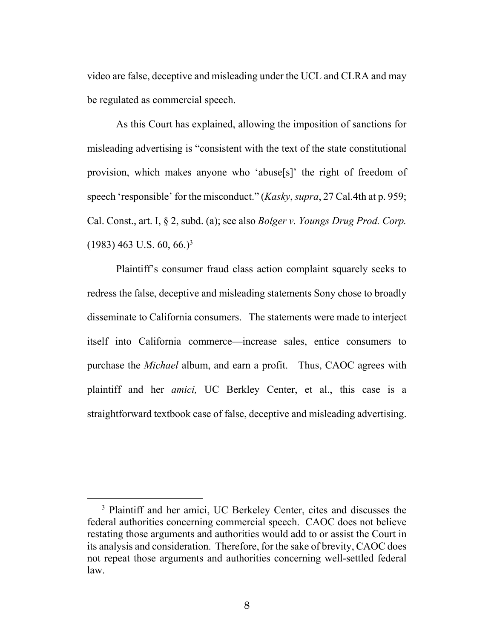video are false, deceptive and misleading under the UCL and CLRA and may be regulated as commercial speech.

As this Court has explained, allowing the imposition of sanctions for misleading advertising is "consistent with the text of the state constitutional provision, which makes anyone who 'abuse[s]' the right of freedom of speech 'responsible' for the misconduct." (*Kasky*, *supra*, 27 Cal.4th at p. 959; Cal. Const., art. I, § 2, subd. (a); see also *Bolger v. Youngs Drug Prod. Corp.*  $(1983)$  463 U.S. 60, 66.)<sup>3</sup>

Plaintiff's consumer fraud class action complaint squarely seeks to redress the false, deceptive and misleading statements Sony chose to broadly disseminate to California consumers. The statements were made to interject itself into California commerce—increase sales, entice consumers to purchase the *Michael* album, and earn a profit. Thus, CAOC agrees with plaintiff and her *amici,* UC Berkley Center, et al., this case is a straightforward textbook case of false, deceptive and misleading advertising.

<sup>&</sup>lt;sup>3</sup> Plaintiff and her amici, UC Berkeley Center, cites and discusses the federal authorities concerning commercial speech. CAOC does not believe restating those arguments and authorities would add to or assist the Court in its analysis and consideration. Therefore, for the sake of brevity, CAOC does not repeat those arguments and authorities concerning well-settled federal law.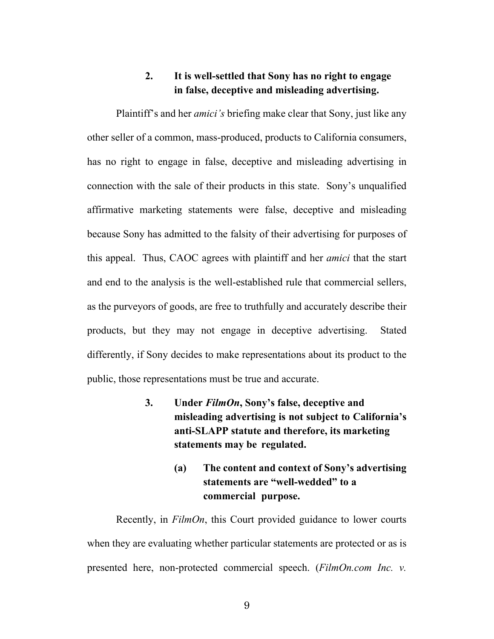## **2. It is well-settled that Sony has no right to engage in false, deceptive and misleading advertising.**

Plaintiff's and her *amici's* briefing make clear that Sony, just like any other seller of a common, mass-produced, products to California consumers, has no right to engage in false, deceptive and misleading advertising in connection with the sale of their products in this state. Sony's unqualified affirmative marketing statements were false, deceptive and misleading because Sony has admitted to the falsity of their advertising for purposes of this appeal. Thus, CAOC agrees with plaintiff and her *amici* that the start and end to the analysis is the well-established rule that commercial sellers, as the purveyors of goods, are free to truthfully and accurately describe their products, but they may not engage in deceptive advertising. Stated differently, if Sony decides to make representations about its product to the public, those representations must be true and accurate.

- **3. Under** *FilmOn***, Sony's false, deceptive and misleading advertising is not subject to California's anti-SLAPP statute and therefore, its marketing statements may be regulated.** 
	- **(a) The content and context of Sony's advertising statements are "well-wedded" to a commercial purpose.**

Recently, in *FilmOn*, this Court provided guidance to lower courts when they are evaluating whether particular statements are protected or as is presented here, non-protected commercial speech. (*FilmOn.com Inc. v.* 

9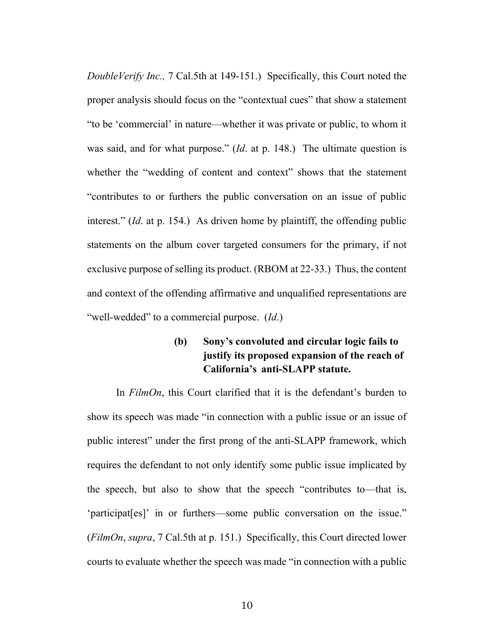*DoubleVerify Inc.,* 7 Cal.5th at 149-151.) Specifically, this Court noted the proper analysis should focus on the "contextual cues" that show a statement "to be 'commercial' in nature—whether it was private or public, to whom it was said, and for what purpose." (*Id*. at p. 148.) The ultimate question is whether the "wedding of content and context" shows that the statement "contributes to or furthers the public conversation on an issue of public interest." (*Id*. at p. 154.) As driven home by plaintiff, the offending public statements on the album cover targeted consumers for the primary, if not exclusive purpose of selling its product. (RBOM at 22-33.) Thus, the content and context of the offending affirmative and unqualified representations are "well-wedded" to a commercial purpose. (*Id*.)

# **(b) Sony's convoluted and circular logic fails to justify its proposed expansion of the reach of California's anti-SLAPP statute.**

In *FilmOn*, this Court clarified that it is the defendant's burden to show its speech was made "in connection with a public issue or an issue of public interest" under the first prong of the anti-SLAPP framework, which requires the defendant to not only identify some public issue implicated by the speech, but also to show that the speech "contributes to—that is, 'participat[es]' in or furthers—some public conversation on the issue." (*FilmOn*, *supra*, 7 Cal.5th at p. 151.) Specifically, this Court directed lower courts to evaluate whether the speech was made "in connection with a public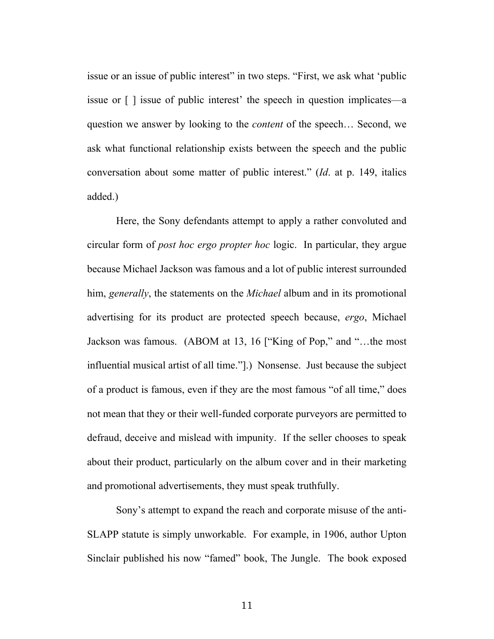issue or an issue of public interest" in two steps. "First, we ask what 'public issue or [ ] issue of public interest' the speech in question implicates—a question we answer by looking to the *content* of the speech… Second, we ask what functional relationship exists between the speech and the public conversation about some matter of public interest." (*Id*. at p. 149, italics added.)

Here, the Sony defendants attempt to apply a rather convoluted and circular form of *post hoc ergo propter hoc* logic. In particular, they argue because Michael Jackson was famous and a lot of public interest surrounded him, *generally*, the statements on the *Michael* album and in its promotional advertising for its product are protected speech because, *ergo*, Michael Jackson was famous. (ABOM at 13, 16 ["King of Pop," and "…the most influential musical artist of all time."].) Nonsense. Just because the subject of a product is famous, even if they are the most famous "of all time," does not mean that they or their well-funded corporate purveyors are permitted to defraud, deceive and mislead with impunity. If the seller chooses to speak about their product, particularly on the album cover and in their marketing and promotional advertisements, they must speak truthfully.

Sony's attempt to expand the reach and corporate misuse of the anti-SLAPP statute is simply unworkable. For example, in 1906, author Upton Sinclair published his now "famed" book, The Jungle. The book exposed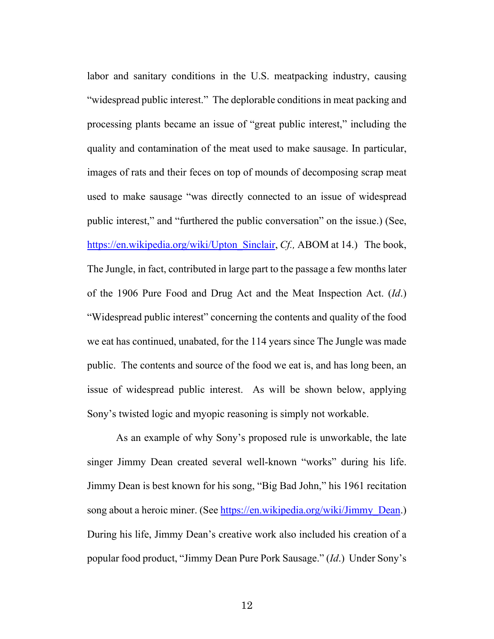labor and sanitary conditions in the U.S. meatpacking industry, causing "widespread public interest." The deplorable conditions in meat packing and processing plants became an issue of "great public interest," including the quality and contamination of the meat used to make sausage. In particular, images of rats and their feces on top of mounds of decomposing scrap meat used to make sausage "was directly connected to an issue of widespread public interest," and "furthered the public conversation" on the issue.) (See, https://en.wikipedia.org/wiki/Upton\_Sinclair, *Cf.,* ABOM at 14.) The book, The Jungle, in fact, contributed in large part to the passage a few months later of the 1906 Pure Food and Drug Act and the Meat Inspection Act. (*Id*.) "Widespread public interest" concerning the contents and quality of the food we eat has continued, unabated, for the 114 years since The Jungle was made public. The contents and source of the food we eat is, and has long been, an issue of widespread public interest. As will be shown below, applying Sony's twisted logic and myopic reasoning is simply not workable.

As an example of why Sony's proposed rule is unworkable, the late singer Jimmy Dean created several well-known "works" during his life. Jimmy Dean is best known for his song, "Big Bad John," his 1961 recitation song about a heroic miner. (See https://en.wikipedia.org/wiki/Jimmy Dean.) During his life, Jimmy Dean's creative work also included his creation of a popular food product, "Jimmy Dean Pure Pork Sausage." (*Id*.) Under Sony's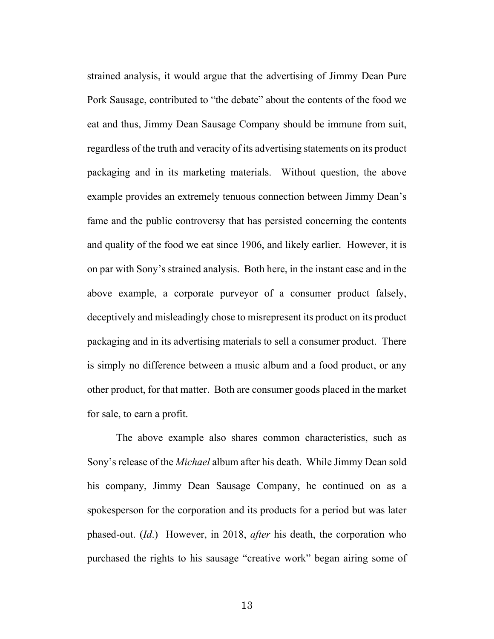strained analysis, it would argue that the advertising of Jimmy Dean Pure Pork Sausage, contributed to "the debate" about the contents of the food we eat and thus, Jimmy Dean Sausage Company should be immune from suit, regardless of the truth and veracity of its advertising statements on its product packaging and in its marketing materials. Without question, the above example provides an extremely tenuous connection between Jimmy Dean's fame and the public controversy that has persisted concerning the contents and quality of the food we eat since 1906, and likely earlier. However, it is on par with Sony's strained analysis. Both here, in the instant case and in the above example, a corporate purveyor of a consumer product falsely, deceptively and misleadingly chose to misrepresent its product on its product packaging and in its advertising materials to sell a consumer product. There is simply no difference between a music album and a food product, or any other product, for that matter. Both are consumer goods placed in the market for sale, to earn a profit.

The above example also shares common characteristics, such as Sony's release of the *Michael* album after his death. While Jimmy Dean sold his company, Jimmy Dean Sausage Company, he continued on as a spokesperson for the corporation and its products for a period but was later phased-out. (*Id*.) However, in 2018, *after* his death, the corporation who purchased the rights to his sausage "creative work" began airing some of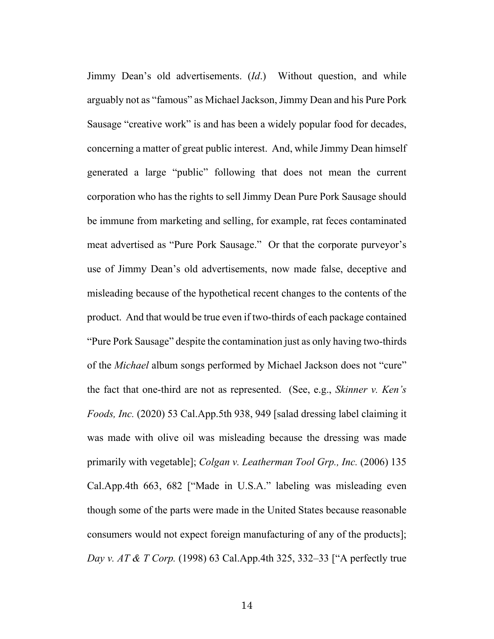Jimmy Dean's old advertisements. (*Id*.) Without question, and while arguably not as "famous" as Michael Jackson, Jimmy Dean and his Pure Pork Sausage "creative work" is and has been a widely popular food for decades, concerning a matter of great public interest. And, while Jimmy Dean himself generated a large "public" following that does not mean the current corporation who has the rights to sell Jimmy Dean Pure Pork Sausage should be immune from marketing and selling, for example, rat feces contaminated meat advertised as "Pure Pork Sausage." Or that the corporate purveyor's use of Jimmy Dean's old advertisements, now made false, deceptive and misleading because of the hypothetical recent changes to the contents of the product. And that would be true even if two-thirds of each package contained "Pure Pork Sausage" despite the contamination just as only having two-thirds of the *Michael* album songs performed by Michael Jackson does not "cure" the fact that one-third are not as represented. (See, e.g., *Skinner v. Ken's Foods, Inc.* (2020) 53 Cal.App.5th 938, 949 [salad dressing label claiming it was made with olive oil was misleading because the dressing was made primarily with vegetable]; *Colgan v. Leatherman Tool Grp., Inc.* (2006) 135 Cal.App.4th 663, 682 ["Made in U.S.A." labeling was misleading even though some of the parts were made in the United States because reasonable consumers would not expect foreign manufacturing of any of the products]; *Day v. AT & T Corp.* (1998) 63 Cal.App.4th 325, 332–33 ["A perfectly true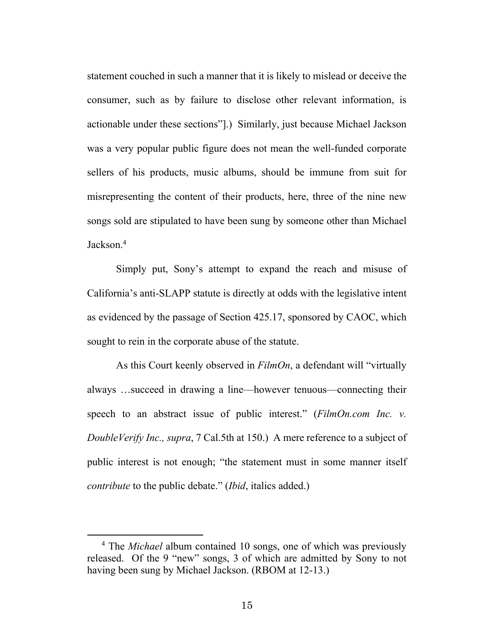statement couched in such a manner that it is likely to mislead or deceive the consumer, such as by failure to disclose other relevant information, is actionable under these sections"].) Similarly, just because Michael Jackson was a very popular public figure does not mean the well-funded corporate sellers of his products, music albums, should be immune from suit for misrepresenting the content of their products, here, three of the nine new songs sold are stipulated to have been sung by someone other than Michael Jackson.4

Simply put, Sony's attempt to expand the reach and misuse of California's anti-SLAPP statute is directly at odds with the legislative intent as evidenced by the passage of Section 425.17, sponsored by CAOC, which sought to rein in the corporate abuse of the statute.

 As this Court keenly observed in *FilmOn*, a defendant will "virtually always …succeed in drawing a line—however tenuous—connecting their speech to an abstract issue of public interest." (*FilmOn.com Inc. v. DoubleVerify Inc., supra*, 7 Cal.5th at 150.) A mere reference to a subject of public interest is not enough; "the statement must in some manner itself *contribute* to the public debate." (*Ibid*, italics added.)

<sup>&</sup>lt;sup>4</sup> The *Michael* album contained 10 songs, one of which was previously released. Of the 9 "new" songs, 3 of which are admitted by Sony to not having been sung by Michael Jackson. (RBOM at 12-13.)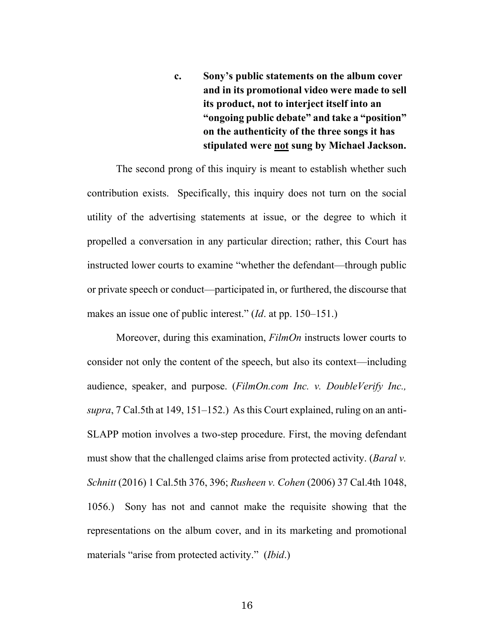**c. Sony's public statements on the album cover and in its promotional video were made to sell its product, not to interject itself into an "ongoing public debate" and take a "position" on the authenticity of the three songs it has stipulated were not sung by Michael Jackson.** 

 The second prong of this inquiry is meant to establish whether such contribution exists. Specifically, this inquiry does not turn on the social utility of the advertising statements at issue, or the degree to which it propelled a conversation in any particular direction; rather, this Court has instructed lower courts to examine "whether the defendant—through public or private speech or conduct—participated in, or furthered, the discourse that makes an issue one of public interest." (*Id*. at pp. 150–151.)

 Moreover, during this examination, *FilmOn* instructs lower courts to consider not only the content of the speech, but also its context—including audience, speaker, and purpose. (*FilmOn.com Inc. v. DoubleVerify Inc., supra*, 7 Cal.5th at 149, 151–152.) As this Court explained, ruling on an anti-SLAPP motion involves a two-step procedure. First, the moving defendant must show that the challenged claims arise from protected activity. (*Baral v. Schnitt* (2016) 1 Cal.5th 376, 396; *Rusheen v. Cohen* (2006) 37 Cal.4th 1048, 1056.) Sony has not and cannot make the requisite showing that the representations on the album cover, and in its marketing and promotional materials "arise from protected activity." (*Ibid*.)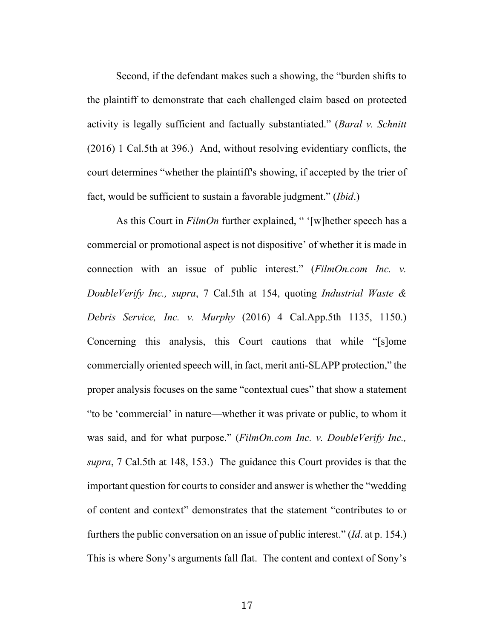Second, if the defendant makes such a showing, the "burden shifts to the plaintiff to demonstrate that each challenged claim based on protected activity is legally sufficient and factually substantiated." (*Baral v. Schnitt* (2016) 1 Cal.5th at 396.) And, without resolving evidentiary conflicts, the court determines "whether the plaintiff's showing, if accepted by the trier of fact, would be sufficient to sustain a favorable judgment." (*Ibid*.)

 As this Court in *FilmOn* further explained, " '[w]hether speech has a commercial or promotional aspect is not dispositive' of whether it is made in connection with an issue of public interest." (*FilmOn.com Inc. v. DoubleVerify Inc., supra*, 7 Cal.5th at 154, quoting *Industrial Waste & Debris Service, Inc. v. Murphy* (2016) 4 Cal.App.5th 1135, 1150.) Concerning this analysis, this Court cautions that while "[s]ome commercially oriented speech will, in fact, merit anti-SLAPP protection," the proper analysis focuses on the same "contextual cues" that show a statement "to be 'commercial' in nature—whether it was private or public, to whom it was said, and for what purpose." (*FilmOn.com Inc. v. DoubleVerify Inc., supra*, 7 Cal.5th at 148, 153.) The guidance this Court provides is that the important question for courts to consider and answer is whether the "wedding of content and context" demonstrates that the statement "contributes to or furthers the public conversation on an issue of public interest." (*Id*. at p. 154.) This is where Sony's arguments fall flat. The content and context of Sony's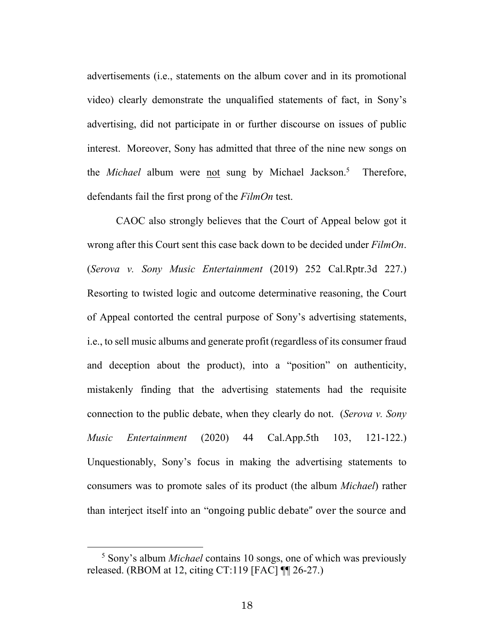advertisements (i.e., statements on the album cover and in its promotional video) clearly demonstrate the unqualified statements of fact, in Sony's advertising, did not participate in or further discourse on issues of public interest. Moreover, Sony has admitted that three of the nine new songs on the *Michael* album were not sung by Michael Jackson.5 Therefore, defendants fail the first prong of the *FilmOn* test.

CAOC also strongly believes that the Court of Appeal below got it wrong after this Court sent this case back down to be decided under *FilmOn*. (*Serova v. Sony Music Entertainment* (2019) 252 Cal.Rptr.3d 227.) Resorting to twisted logic and outcome determinative reasoning, the Court of Appeal contorted the central purpose of Sony's advertising statements, i.e., to sell music albums and generate profit (regardless of its consumer fraud and deception about the product), into a "position" on authenticity, mistakenly finding that the advertising statements had the requisite connection to the public debate, when they clearly do not. (*Serova v. Sony Music Entertainment* (2020) 44 Cal.App.5th 103, 121-122.) Unquestionably, Sony's focus in making the advertising statements to consumers was to promote sales of its product (the album *Michael*) rather than interject itself into an "ongoing public debate" over the source and

 <sup>5</sup> Sony's album *Michael* contains 10 songs, one of which was previously released. (RBOM at 12, citing CT:119 [FAC]  $\P$ [ 26-27.)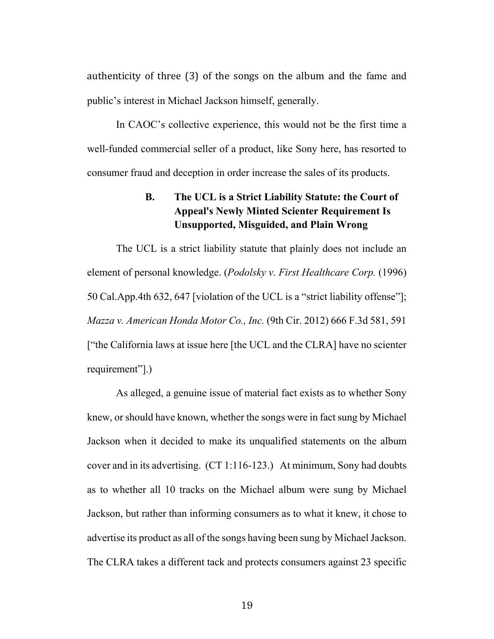authenticity of three (3) of the songs on the album and the fame and public's interest in Michael Jackson himself, generally.

 In CAOC's collective experience, this would not be the first time a well-funded commercial seller of a product, like Sony here, has resorted to consumer fraud and deception in order increase the sales of its products.

# **B. The UCL is a Strict Liability Statute: the Court of Appeal's Newly Minted Scienter Requirement Is Unsupported, Misguided, and Plain Wrong**

 The UCL is a strict liability statute that plainly does not include an element of personal knowledge. (*Podolsky v. First Healthcare Corp.* (1996) 50 Cal.App.4th 632, 647 [violation of the UCL is a "strict liability offense"]; *Mazza v. American Honda Motor Co., Inc.* (9th Cir. 2012) 666 F.3d 581, 591 ["the California laws at issue here [the UCL and the CLRA] have no scienter requirement"].)

 As alleged, a genuine issue of material fact exists as to whether Sony knew, or should have known, whether the songs were in fact sung by Michael Jackson when it decided to make its unqualified statements on the album cover and in its advertising. (CT 1:116-123.) At minimum, Sony had doubts as to whether all 10 tracks on the Michael album were sung by Michael Jackson, but rather than informing consumers as to what it knew, it chose to advertise its product as all of the songs having been sung by Michael Jackson. The CLRA takes a different tack and protects consumers against 23 specific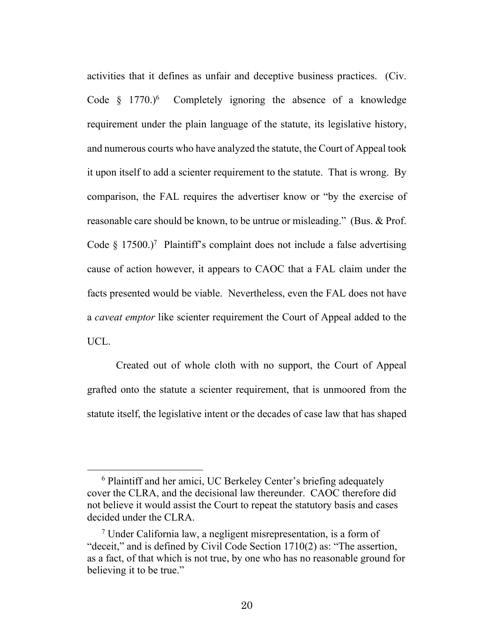activities that it defines as unfair and deceptive business practices. (Civ. Code  $\frac{1770.}{6}$  Completely ignoring the absence of a knowledge requirement under the plain language of the statute, its legislative history, and numerous courts who have analyzed the statute, the Court of Appeal took it upon itself to add a scienter requirement to the statute. That is wrong. By comparison, the FAL requires the advertiser know or "by the exercise of reasonable care should be known, to be untrue or misleading." (Bus. & Prof. Code  $\S 17500$ .)<sup>7</sup> Plaintiff's complaint does not include a false advertising cause of action however, it appears to CAOC that a FAL claim under the facts presented would be viable. Nevertheless, even the FAL does not have a *caveat emptor* like scienter requirement the Court of Appeal added to the UCL.

 Created out of whole cloth with no support, the Court of Appeal grafted onto the statute a scienter requirement, that is unmoored from the statute itself, the legislative intent or the decades of case law that has shaped

 <sup>6</sup> Plaintiff and her amici, UC Berkeley Center's briefing adequately cover the CLRA, and the decisional law thereunder. CAOC therefore did not believe it would assist the Court to repeat the statutory basis and cases decided under the CLRA.

<sup>7</sup> Under California law, a negligent misrepresentation, is a form of "deceit," and is defined by Civil Code Section 1710(2) as: "The assertion, as a fact, of that which is not true, by one who has no reasonable ground for believing it to be true."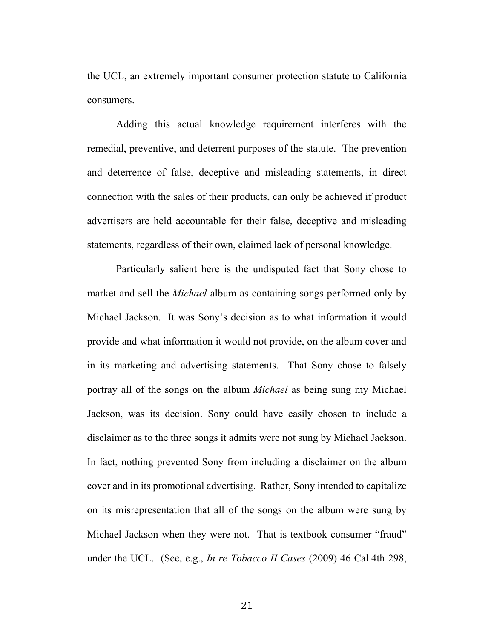the UCL, an extremely important consumer protection statute to California consumers.

Adding this actual knowledge requirement interferes with the remedial, preventive, and deterrent purposes of the statute. The prevention and deterrence of false, deceptive and misleading statements, in direct connection with the sales of their products, can only be achieved if product advertisers are held accountable for their false, deceptive and misleading statements, regardless of their own, claimed lack of personal knowledge.

Particularly salient here is the undisputed fact that Sony chose to market and sell the *Michael* album as containing songs performed only by Michael Jackson. It was Sony's decision as to what information it would provide and what information it would not provide, on the album cover and in its marketing and advertising statements. That Sony chose to falsely portray all of the songs on the album *Michael* as being sung my Michael Jackson, was its decision. Sony could have easily chosen to include a disclaimer as to the three songs it admits were not sung by Michael Jackson. In fact, nothing prevented Sony from including a disclaimer on the album cover and in its promotional advertising. Rather, Sony intended to capitalize on its misrepresentation that all of the songs on the album were sung by Michael Jackson when they were not. That is textbook consumer "fraud" under the UCL. (See, e.g., *In re Tobacco II Cases* (2009) 46 Cal.4th 298,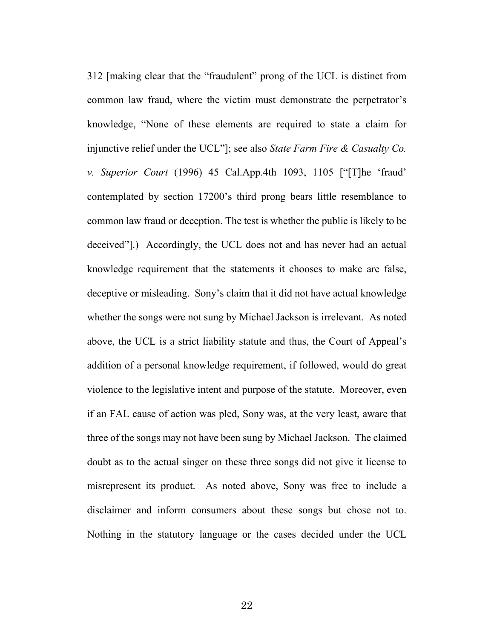312 [making clear that the "fraudulent" prong of the UCL is distinct from common law fraud, where the victim must demonstrate the perpetrator's knowledge, "None of these elements are required to state a claim for injunctive relief under the UCL"]; see also *State Farm Fire & Casualty Co. v. Superior Court* (1996) 45 Cal.App.4th 1093, 1105 ["[T]he 'fraud' contemplated by section 17200's third prong bears little resemblance to common law fraud or deception. The test is whether the public is likely to be deceived"].) Accordingly, the UCL does not and has never had an actual knowledge requirement that the statements it chooses to make are false, deceptive or misleading. Sony's claim that it did not have actual knowledge whether the songs were not sung by Michael Jackson is irrelevant. As noted above, the UCL is a strict liability statute and thus, the Court of Appeal's addition of a personal knowledge requirement, if followed, would do great violence to the legislative intent and purpose of the statute. Moreover, even if an FAL cause of action was pled, Sony was, at the very least, aware that three of the songs may not have been sung by Michael Jackson. The claimed doubt as to the actual singer on these three songs did not give it license to misrepresent its product. As noted above, Sony was free to include a disclaimer and inform consumers about these songs but chose not to. Nothing in the statutory language or the cases decided under the UCL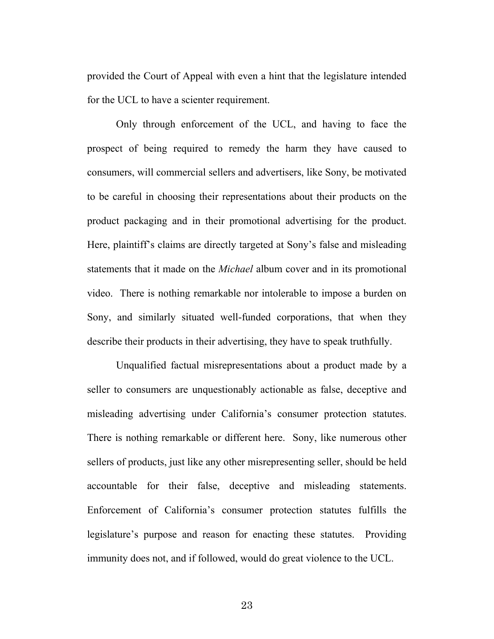provided the Court of Appeal with even a hint that the legislature intended for the UCL to have a scienter requirement.

 Only through enforcement of the UCL, and having to face the prospect of being required to remedy the harm they have caused to consumers, will commercial sellers and advertisers, like Sony, be motivated to be careful in choosing their representations about their products on the product packaging and in their promotional advertising for the product. Here, plaintiff's claims are directly targeted at Sony's false and misleading statements that it made on the *Michael* album cover and in its promotional video. There is nothing remarkable nor intolerable to impose a burden on Sony, and similarly situated well-funded corporations, that when they describe their products in their advertising, they have to speak truthfully.

 Unqualified factual misrepresentations about a product made by a seller to consumers are unquestionably actionable as false, deceptive and misleading advertising under California's consumer protection statutes. There is nothing remarkable or different here. Sony, like numerous other sellers of products, just like any other misrepresenting seller, should be held accountable for their false, deceptive and misleading statements. Enforcement of California's consumer protection statutes fulfills the legislature's purpose and reason for enacting these statutes. Providing immunity does not, and if followed, would do great violence to the UCL.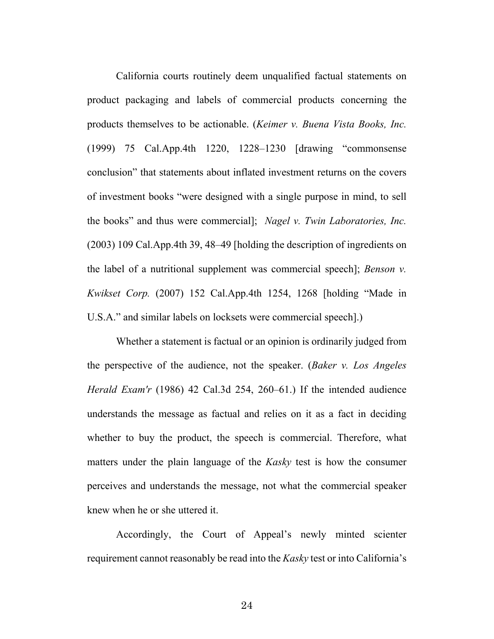California courts routinely deem unqualified factual statements on product packaging and labels of commercial products concerning the products themselves to be actionable. (*Keimer v. Buena Vista Books, Inc.* (1999) 75 Cal.App.4th 1220, 1228–1230 [drawing "commonsense conclusion" that statements about inflated investment returns on the covers of investment books "were designed with a single purpose in mind, to sell the books" and thus were commercial]; *Nagel v. Twin Laboratories, Inc.* (2003) 109 Cal.App.4th 39, 48–49 [holding the description of ingredients on the label of a nutritional supplement was commercial speech]; *Benson v. Kwikset Corp.* (2007) 152 Cal.App.4th 1254, 1268 [holding "Made in U.S.A." and similar labels on locksets were commercial speech].)

 Whether a statement is factual or an opinion is ordinarily judged from the perspective of the audience, not the speaker. (*Baker v. Los Angeles Herald Exam'r* (1986) 42 Cal.3d 254, 260–61.) If the intended audience understands the message as factual and relies on it as a fact in deciding whether to buy the product, the speech is commercial. Therefore, what matters under the plain language of the *Kasky* test is how the consumer perceives and understands the message, not what the commercial speaker knew when he or she uttered it.

 Accordingly, the Court of Appeal's newly minted scienter requirement cannot reasonably be read into the *Kasky* test or into California's

24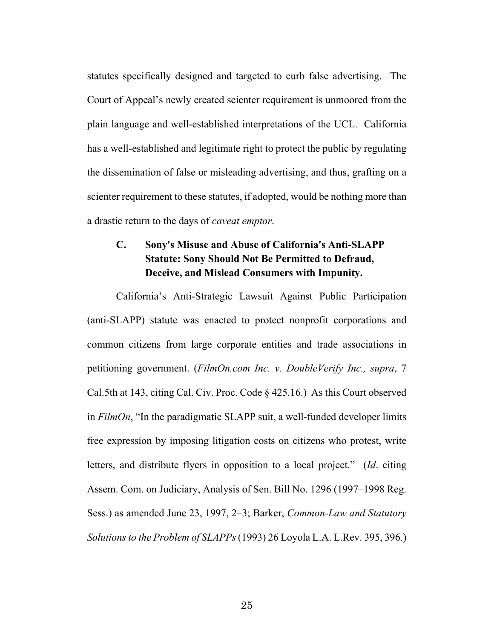statutes specifically designed and targeted to curb false advertising. The Court of Appeal's newly created scienter requirement is unmoored from the plain language and well-established interpretations of the UCL. California has a well-established and legitimate right to protect the public by regulating the dissemination of false or misleading advertising, and thus, grafting on a scienter requirement to these statutes, if adopted, would be nothing more than a drastic return to the days of *caveat emptor*.

# **C. Sony's Misuse and Abuse of California's Anti-SLAPP Statute: Sony Should Not Be Permitted to Defraud, Deceive, and Mislead Consumers with Impunity.**

 California's Anti-Strategic Lawsuit Against Public Participation (anti-SLAPP) statute was enacted to protect nonprofit corporations and common citizens from large corporate entities and trade associations in petitioning government. (*FilmOn.com Inc. v. DoubleVerify Inc., supra*, 7 Cal.5th at 143, citing Cal. Civ. Proc. Code § 425.16.) As this Court observed in *FilmOn*, "In the paradigmatic SLAPP suit, a well-funded developer limits free expression by imposing litigation costs on citizens who protest, write letters, and distribute flyers in opposition to a local project." (*Id*. citing Assem. Com. on Judiciary, Analysis of Sen. Bill No. 1296 (1997–1998 Reg. Sess.) as amended June 23, 1997, 2–3; Barker, *Common-Law and Statutory Solutions to the Problem of SLAPPs* (1993) 26 Loyola L.A. L.Rev. 395, 396.)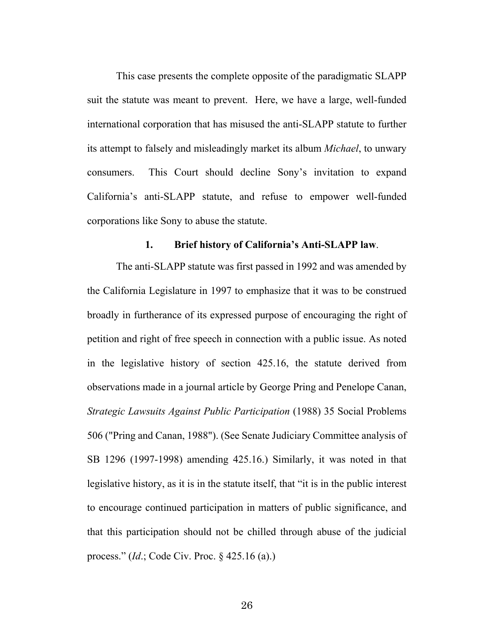This case presents the complete opposite of the paradigmatic SLAPP suit the statute was meant to prevent. Here, we have a large, well-funded international corporation that has misused the anti-SLAPP statute to further its attempt to falsely and misleadingly market its album *Michael*, to unwary consumers. This Court should decline Sony's invitation to expand California's anti-SLAPP statute, and refuse to empower well-funded corporations like Sony to abuse the statute.

#### **1. Brief history of California's Anti-SLAPP law**.

 The anti-SLAPP statute was first passed in 1992 and was amended by the California Legislature in 1997 to emphasize that it was to be construed broadly in furtherance of its expressed purpose of encouraging the right of petition and right of free speech in connection with a public issue. As noted in the legislative history of section 425.16, the statute derived from observations made in a journal article by George Pring and Penelope Canan, *Strategic Lawsuits Against Public Participation* (1988) 35 Social Problems 506 ("Pring and Canan, 1988"). (See Senate Judiciary Committee analysis of SB 1296 (1997-1998) amending 425.16.) Similarly, it was noted in that legislative history, as it is in the statute itself, that "it is in the public interest to encourage continued participation in matters of public significance, and that this participation should not be chilled through abuse of the judicial process." (*Id*.; Code Civ. Proc. § 425.16 (a).)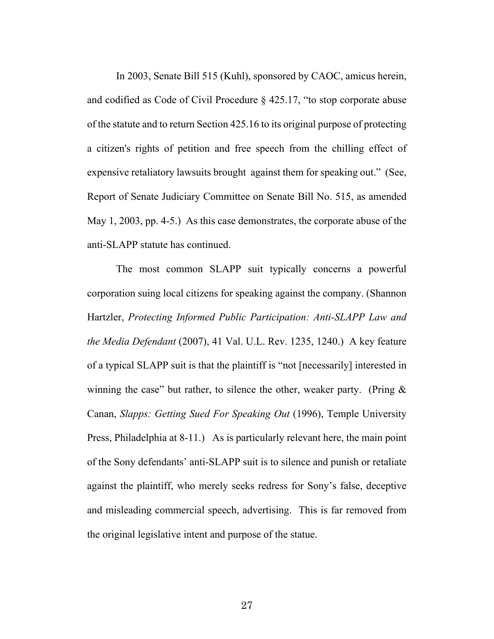In 2003, Senate Bill 515 (Kuhl), sponsored by CAOC, amicus herein, and codified as Code of Civil Procedure § 425.17, "to stop corporate abuse of the statute and to return Section 425.16 to its original purpose of protecting a citizen's rights of petition and free speech from the chilling effect of expensive retaliatory lawsuits brought against them for speaking out." (See, Report of Senate Judiciary Committee on Senate Bill No. 515, as amended May 1, 2003, pp. 4-5.) As this case demonstrates, the corporate abuse of the anti-SLAPP statute has continued.

 The most common SLAPP suit typically concerns a powerful corporation suing local citizens for speaking against the company. (Shannon Hartzler, *Protecting Informed Public Participation: Anti-SLAPP Law and the Media Defendant* (2007), 41 Val. U.L. Rev. 1235, 1240.) A key feature of a typical SLAPP suit is that the plaintiff is "not [necessarily] interested in winning the case" but rather, to silence the other, weaker party. (Pring  $\&$ Canan, *Slapps: Getting Sued For Speaking Out* (1996), Temple University Press, Philadelphia at 8-11.) As is particularly relevant here, the main point of the Sony defendants' anti-SLAPP suit is to silence and punish or retaliate against the plaintiff, who merely seeks redress for Sony's false, deceptive and misleading commercial speech, advertising. This is far removed from the original legislative intent and purpose of the statue.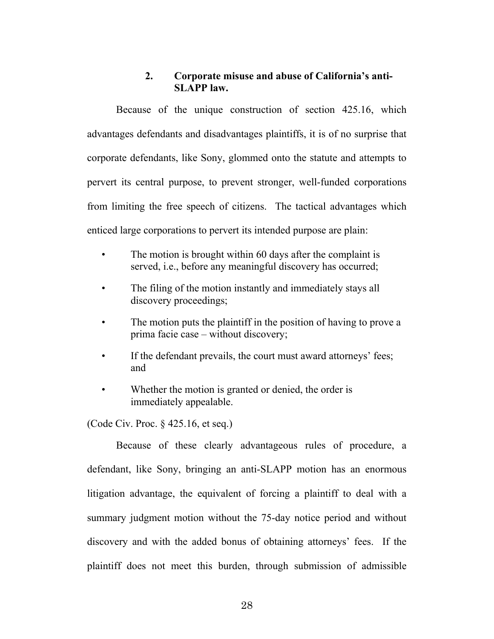## **2. Corporate misuse and abuse of California's anti- SLAPP law.**

Because of the unique construction of section 425.16, which advantages defendants and disadvantages plaintiffs, it is of no surprise that corporate defendants, like Sony, glommed onto the statute and attempts to pervert its central purpose, to prevent stronger, well-funded corporations from limiting the free speech of citizens. The tactical advantages which enticed large corporations to pervert its intended purpose are plain:

- The motion is brought within 60 days after the complaint is served, i.e., before any meaningful discovery has occurred;
- The filing of the motion instantly and immediately stays all discovery proceedings;
- The motion puts the plaintiff in the position of having to prove a prima facie case – without discovery;
- If the defendant prevails, the court must award attorneys' fees; and
- Whether the motion is granted or denied, the order is immediately appealable.

(Code Civ. Proc. § 425.16, et seq.)

 Because of these clearly advantageous rules of procedure, a defendant, like Sony, bringing an anti-SLAPP motion has an enormous litigation advantage, the equivalent of forcing a plaintiff to deal with a summary judgment motion without the 75-day notice period and without discovery and with the added bonus of obtaining attorneys' fees. If the plaintiff does not meet this burden, through submission of admissible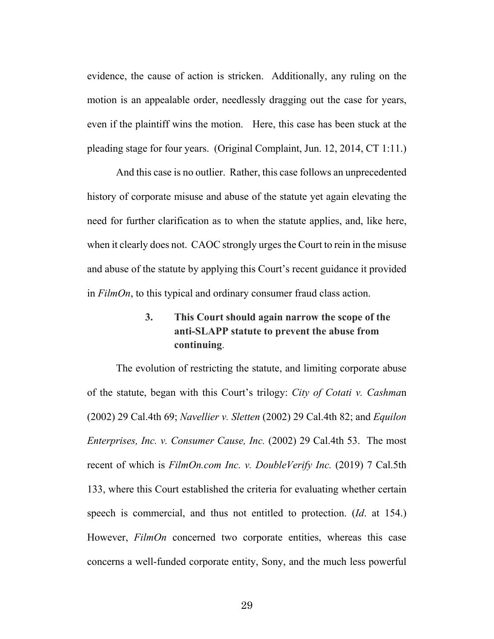evidence, the cause of action is stricken. Additionally, any ruling on the motion is an appealable order, needlessly dragging out the case for years, even if the plaintiff wins the motion. Here, this case has been stuck at the pleading stage for four years. (Original Complaint, Jun. 12, 2014, CT 1:11.)

 And this case is no outlier. Rather, this case follows an unprecedented history of corporate misuse and abuse of the statute yet again elevating the need for further clarification as to when the statute applies, and, like here, when it clearly does not. CAOC strongly urges the Court to rein in the misuse and abuse of the statute by applying this Court's recent guidance it provided in *FilmOn*, to this typical and ordinary consumer fraud class action.

# **3. This Court should again narrow the scope of the anti-SLAPP statute to prevent the abuse from continuing**.

 The evolution of restricting the statute, and limiting corporate abuse of the statute, began with this Court's trilogy: *City of Cotati v. Cashma*n (2002) 29 Cal.4th 69; *Navellier v. Sletten* (2002) 29 Cal.4th 82; and *Equilon Enterprises, Inc. v. Consumer Cause, Inc.* (2002) 29 Cal.4th 53. The most recent of which is *FilmOn.com Inc. v. DoubleVerify Inc.* (2019) 7 Cal.5th 133, where this Court established the criteria for evaluating whether certain speech is commercial, and thus not entitled to protection. (*Id*. at 154.) However, *FilmOn* concerned two corporate entities, whereas this case concerns a well-funded corporate entity, Sony, and the much less powerful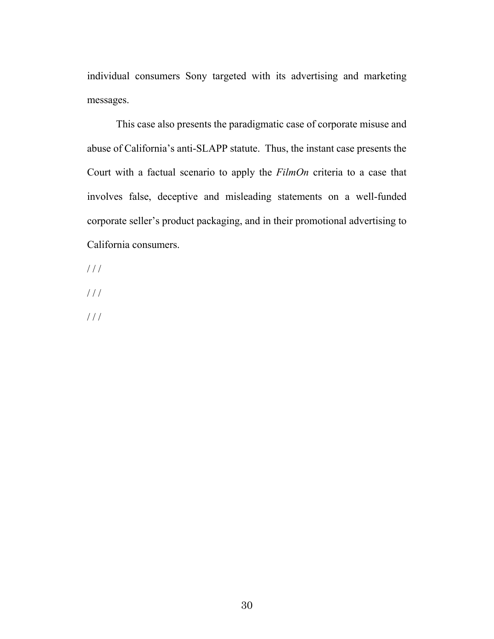individual consumers Sony targeted with its advertising and marketing messages.

 This case also presents the paradigmatic case of corporate misuse and abuse of California's anti-SLAPP statute. Thus, the instant case presents the Court with a factual scenario to apply the *FilmOn* criteria to a case that involves false, deceptive and misleading statements on a well-funded corporate seller's product packaging, and in their promotional advertising to California consumers.

- / / /
- / / /
- / / /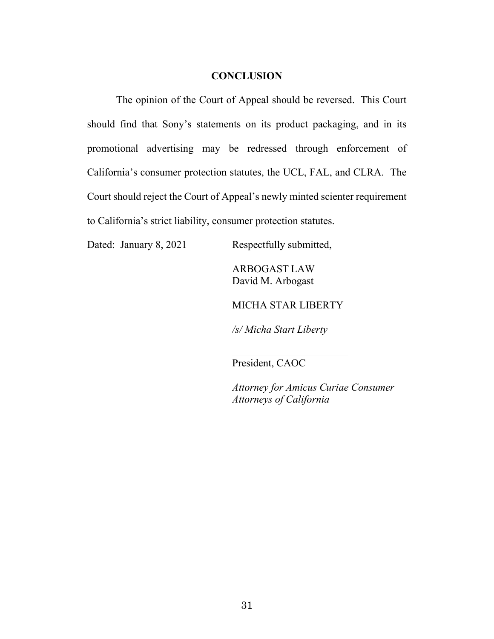## **CONCLUSION**

The opinion of the Court of Appeal should be reversed. This Court should find that Sony's statements on its product packaging, and in its promotional advertising may be redressed through enforcement of California's consumer protection statutes, the UCL, FAL, and CLRA. The Court should reject the Court of Appeal's newly minted scienter requirement to California's strict liability, consumer protection statutes.

Dated: January 8, 2021 Respectfully submitted,

ARBOGAST LAW David M. Arbogast

MICHA STAR LIBERTY

*/s/ Micha Start Liberty* 

President, CAOC

*Attorney for Amicus Curiae Consumer Attorneys of California*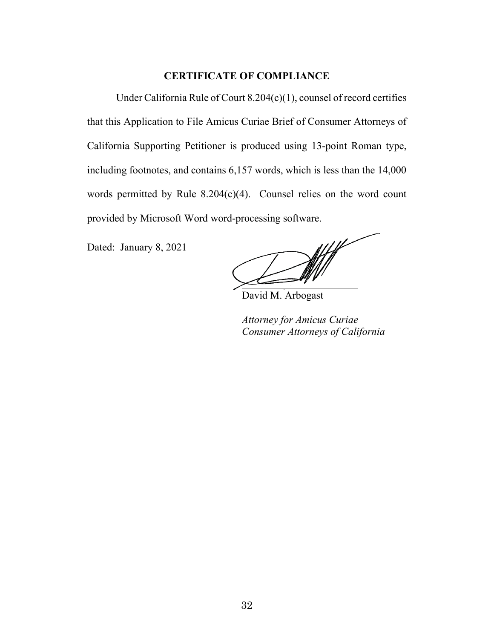### **CERTIFICATE OF COMPLIANCE**

Under California Rule of Court 8.204(c)(1), counsel of record certifies that this Application to File Amicus Curiae Brief of Consumer Attorneys of California Supporting Petitioner is produced using 13-point Roman type, including footnotes, and contains 6,157 words, which is less than the 14,000 words permitted by Rule 8.204(c)(4). Counsel relies on the word count provided by Microsoft Word word-processing software.

Dated: January 8, 2021

David M. Arbogast

*Attorney for Amicus Curiae Consumer Attorneys of California*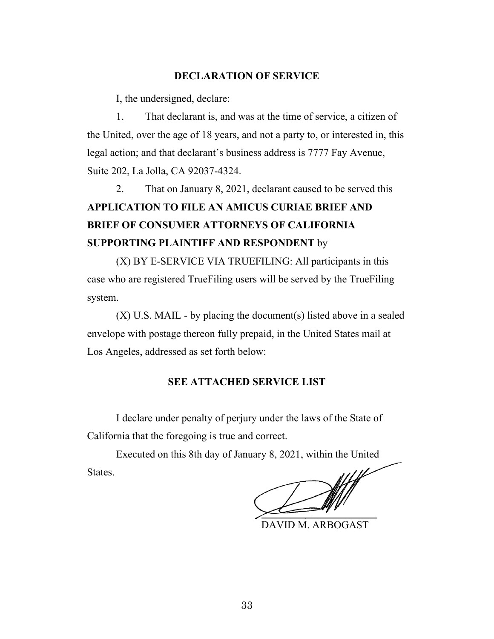#### **DECLARATION OF SERVICE**

I, the undersigned, declare:

1. That declarant is, and was at the time of service, a citizen of the United, over the age of 18 years, and not a party to, or interested in, this legal action; and that declarant's business address is 7777 Fay Avenue, Suite 202, La Jolla, CA 92037-4324.

2. That on January 8, 2021, declarant caused to be served this **APPLICATION TO FILE AN AMICUS CURIAE BRIEF AND BRIEF OF CONSUMER ATTORNEYS OF CALIFORNIA SUPPORTING PLAINTIFF AND RESPONDENT** by

(X) BY E-SERVICE VIA TRUEFILING: All participants in this case who are registered TrueFiling users will be served by the TrueFiling system.

(X) U.S. MAIL - by placing the document(s) listed above in a sealed envelope with postage thereon fully prepaid, in the United States mail at Los Angeles, addressed as set forth below:

#### **SEE ATTACHED SERVICE LIST**

I declare under penalty of perjury under the laws of the State of California that the foregoing is true and correct.

Executed on this 8th day of January 8, 2021, within the United States.

DAVID M. ARBOGAST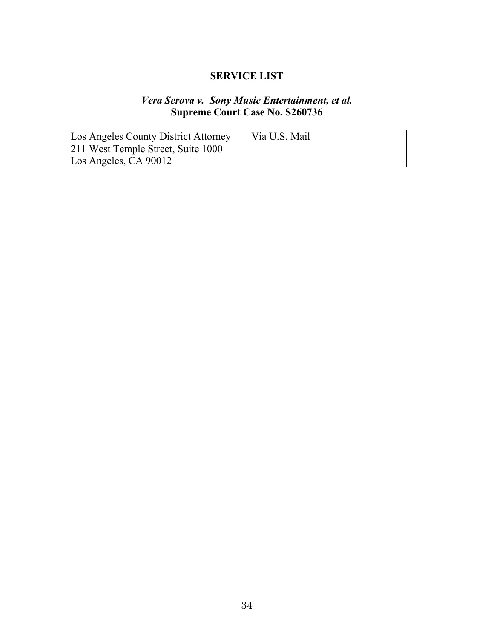## **SERVICE LIST**

## *Vera Serova v. Sony Music Entertainment, et al.*  **Supreme Court Case No. S260736**

| Los Angeles County District Attorney | Via U.S. Mail |
|--------------------------------------|---------------|
| 211 West Temple Street, Suite 1000   |               |
| Los Angeles, CA 90012                |               |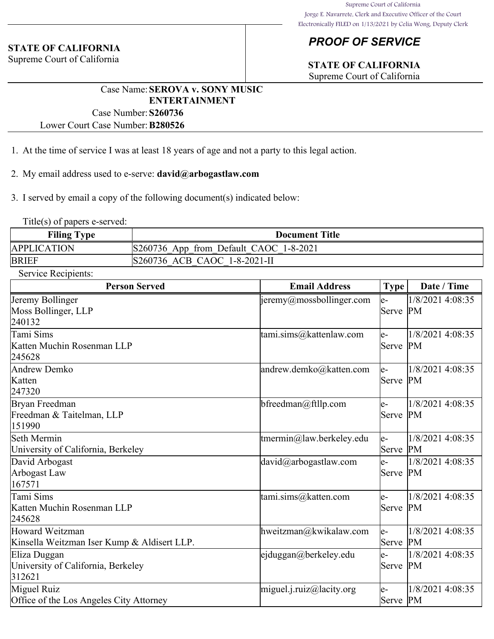#### **STATE OF CALIFORNIA**

Supreme Court of California

# *PROOF OF SERVICE*

# **STATE OF CALIFORNIA**

Supreme Court of California

## Case Name:**SEROVA v. SONY MUSIC ENTERTAINMENT**

Case Number:**S260736** Lower Court Case Number:**B280526**

- 1. At the time of service I was at least 18 years of age and not a party to this legal action.
- 2. My email address used to e-serve: **david@arbogastlaw.com**

3. I served by email a copy of the following document(s) indicated below:

Title(s) of papers e-served:

| <b>Filing Type</b> | <b>Document Title</b>                     |  |  |
|--------------------|-------------------------------------------|--|--|
| <b>APPLICATION</b> | $ S260736$ App from Default CAOC 1-8-2021 |  |  |
| <b>BRIEF</b>       | S260736 ACB CAOC 1-8-2021-II              |  |  |

Service Recipients:

| <b>Person Served</b>                                           | <b>Email Address</b>     | Type            | Date / Time            |
|----------------------------------------------------------------|--------------------------|-----------------|------------------------|
| Jeremy Bollinger<br>Moss Bollinger, LLP<br>240132              | jeremy@mossbollinger.com | le-<br>Serve PM | 1/8/2021 4:08:35       |
| Tami Sims<br>Katten Muchin Rosenman LLP<br>245628              | tami.sims@kattenlaw.com  | le-<br>Serve    | 1/8/2021 4:08:35<br>PM |
| Andrew Demko<br>Katten<br>247320                               | andrew.demko@katten.com  | le-<br>Serve PM | 1/8/2021 4:08:35       |
| Bryan Freedman<br>Freedman & Taitelman, LLP<br>151990          | bfreedman@ftllp.com      | le-<br>Serve PM | 1/8/2021 4:08:35       |
| Seth Mermin<br>University of California, Berkeley              | tmermin@law.berkeley.edu | le-<br>Serve PM | 1/8/2021 4:08:35       |
| David Arbogast<br>Arbogast Law<br>167571                       | david@arbogastlaw.com    | le-<br>Serve PM | 1/8/2021 4:08:35       |
| Tami Sims<br>Katten Muchin Rosenman LLP<br>245628              | tami.sims@katten.com     | le-<br>Serve PM | 1/8/2021 4:08:35       |
| Howard Weitzman<br>Kinsella Weitzman Iser Kump & Aldisert LLP. | hweitzman@kwikalaw.com   | le-<br>Serve PM | 1/8/2021 4:08:35       |
| Eliza Duggan<br>University of California, Berkeley<br>312621   | ejduggan@berkeley.edu    | le-<br>Serve PM | 1/8/2021 4:08:35       |
| Miguel Ruiz<br>Office of the Los Angeles City Attorney         | miguel.j.ruiz@lacity.org | le-<br>Serve PM | 1/8/2021 4:08:35       |